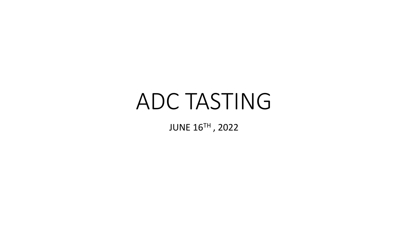# ADC TASTING

JUNE 16TH , 2022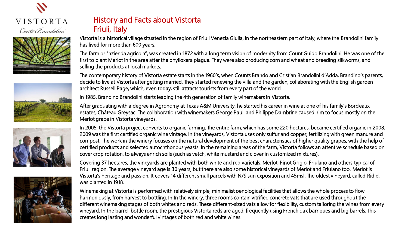









# History and Facts about Vistorta Friuli, Italy

Vistorta is a historical village situated in the region of Friuli Venezia Giulia, in the northeastern part of Italy, where the Brandolini family has lived for more than 600 years.

The farm or "azienda agricola", was created in 1872 with a long term vision of modernity from Count Guido Brandolini. He was one of the first to plant Merlot in the area after the phylloxera plague. They were also producing corn and wheat and breeding silkworms, and selling the products at local markets.

The contemporary history of Vistorta estate starts in the 1960's, when Counts Brando and Cristian Brandolini d'Adda, Brandino's parents, decide to live at Vistorta after getting married. They started renewing the villa and the garden, collaborating with the English garden architect Russell Page, which, even today, still attracts tourists from every part of the world.

In 1985, Brandino Brandolini starts leading the 4th generation of family winemakers in Vistorta.

After graduating with a degree in Agronomy at Texas A&M University, he started his career in wine at one of his family's Bordeaux estates, Château Greysac. The collaboration with winemakers George Pauli and Philippe Dambrine caused him to focus mostly on the Merlot grape in Vistorta vineyards.

In 2005, the Vistorta project converts to organic farming. The entire farm, which has some 220 hectares, became certified organic in 2008. 2009 was the first certified organic wine vintage. In the vineyards, Vistorta uses only sulfur and copper, fertilizing with green manure and compost. The work in the winery focuses on the natural development of the best characteristics of higher quality grapes, with the help of certified products and selected autochthonous yeasts. In the remaining areas of the farm, Vistorta follows an attentive schedule based on cover crop rotation, to always enrich soils (such as vetch, white mustard and clover in customized mixtures).

Covering 37 hectares, the vineyards are planted with both white and red varietals: Merlot, Pinot Grigio, Friulano and others typical of Friuli region. The average vineyard age is 30 years, but there are also some historical vineyards of Merlot and Friulano too. Merlot is Vistorta's heritage and passion. It covers 14 different small parcels with N/S sun exposition and 45msl. The oldest vineyard, called Ridiel, was planted in 1918.

Winemaking at Vistorta is performed with relatively simple, minimalist oenological facilities that allows the whole process to flow harmoniously, from harvest to bottling. In In the winery, three rooms contain vitrified concrete vats that are used throughout the different winemaking stages of both whites and reds. These different-sized vats allow for flexibility, custom tailoring the wines from every vineyard. In the barrel-bottle room, the prestigious Vistorta reds are aged, frequently using French oak barriques and big barrels. This creates long lasting and wonderful vintages of both red and white wines.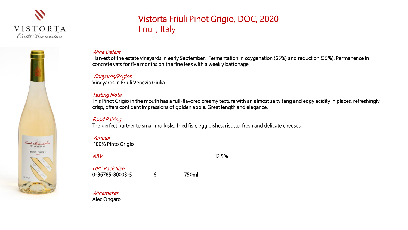

Conte Brandolin PINOT GRIGIO

FRIULI

# Vistorta Friuli Pinot Grigio, DOC, 2020 Friuli, Italy

### Wine Details

Harvest of the estate vineyards in early September. Fermentation in oxygenation (65%) and reduction (35%). Permanence in concrete vats for five months on the fine lees with a weekly battonage.

### Vineyards/Region

Vineyards in Friuli Venezia Giulia

### Tasting Note

This Pinot Grigio in the mouth has a full-flavored creamy texture with an almost salty tang and edgy acidity in places, refreshingly crisp, offers confident impressions of golden apple. Great length and elegance.

### Food Pairing

The perfect partner to small mollusks, fried fish, egg dishes, risotto, fresh and delicate cheeses.

### Varietal 100% Pinto Grigio

 $ABV$  12.5%

UPC Pack Size 0-86785-80003-5 6 750ml

**Winemaker** Alec Ongaro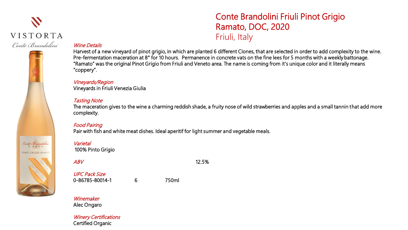# $\boldsymbol{\mathcal{N}}$ VISTORTA Conte Brandolini

# Conte Brandolini PINOT GRIGIO RAMATO

# Conte Brandolini Friuli Pinot Grigio Ramato, DOC, 2020 Friuli, Italy

### Wine Details

Harvest of a new vineyard of pinot grigio, in which are planted 6 different Clones, that are selected in order to add complexity to the wine. Pre-fermentation maceration at 8° for 10 hours. Permanence in concrete vats on the fine lees for 5 months with a weekly battonage. "Ramato" was the original Pinot Grigio from Friuli and Veneto area. The name is coming from it's unique color and it literally means "coppery".

## Vineyards/Region

Vineyards in Friuli Venezia Giulia

### Tasting Note

The maceration gives to the wine a charming reddish shade, a fruity nose of wild strawberries and apples and a small tannin that add more complexity.

### Food Pairing

Pair with fish and white meat dishes. Ideal aperitif for light summer and vegetable meals.

### **Varietal**

100% Pinto Grigio

 $ABV$  12.5%

UPC Pack Size 0-86785-80014-1 6 750ml

### Winemaker Alec Ongaro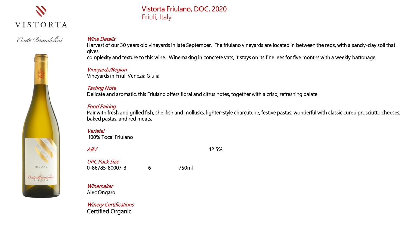

Conte Brandolini

# Vistorta Friulano, DOC, 2020 Friuli, Italy

### Wine Details

Harvest of our 30 years old vineyards in late September. The friulano vineyards are located in between the reds, with a sandy-clay soil that gives complexity and texture to this wine. Winemaking in concrete vats, it stays on its fine lees for five months with a weekly battonage.

Vineyards/Region

Vineyards in Friuli Venezia Giulia

### Tasting Note

Delicate and aromatic, this Friulano offers floral and citrus notes, together with a crisp, refreshing palate.

### Food Pairing

Pair with fresh and grilled fish, shellfish and mollusks, lighter-style charcuterie, festive pastas; wonderful with classic cured prosciutto cheeses, baked pastas, and red meats.

### **Varietal**

100% Tocai Friulano



 $ABV$  12.5% UPC Pack Size 0-86785-80007-3 6 750ml

Winemaker Alec Ongaro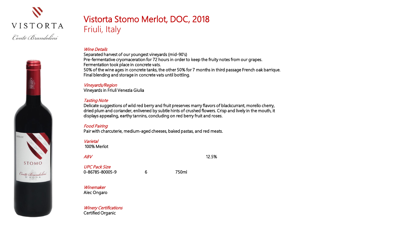

STOMO

Conte Brandolini

# Vistorta Stomo Merlot, DOC, 2018 Friuli, Italy

### Wine Details

Separated harvest of our youngest vineyards (mid-90's) Pre-fermentative cryomaceration for 72 hours in order to keep the fruity notes from our grapes. Fermentation took place in concrete vats. 50% of the wine ages in concrete tanks, the other 50% for 7 months in third passage French oak barrique. Final blending and storage in concrete vats until bottling.

### Vineyards/Region

Vineyards in Friuli Venezia Giulia

### Tasting Note

Delicate suggestions of wild red berry and fruit preserves marry flavors of blackcurrant, morello cherry, dried plum and coriander, enlivened by subtle hints of crushed flowers. Crisp and lively in the mouth, it displays appealing, earthy tannins, concluding on red berry fruit and roses.

### Food Pairing

Pair with charcuterie, medium-aged cheeses, baked pastas, and red meats.

### **Varietal**

100% Merlot

 $ABV$  12.5%

UPC Pack Size 0-86785-80005-9 6 750ml

Winemaker Alec Ongaro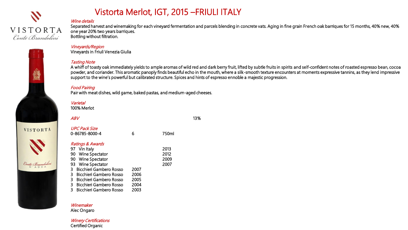

VISTORTA

Conte Brandolini

# Vistorta Merlot, IGT, 2015 –FRIULI ITALY

### Wine details

Separated harvest and winemaking for each vineyard fermentation and parcels blending in concrete vats. Aging in fine grain French oak barriques for 15 months, 40% new, 40% one year 20% two years barriques. Bottling without filtration.

### Vineyards/Region

Vineyards in Friuli Venezia Giulia

### Tasting Note

A whiff of toasty oak immediately yields to ample aromas of wild red and dark berry fruit, lifted by subtle fruits in spirits and self-confident notes of roasted espresso bean, cocoa powder, and coriander. This aromatic panoply finds beautiful echo in the mouth, where a silk-smooth texture encounters at moments expressive tannins, as they lend impressive support to the wine's powerful but calibrated structure. Spices and hints of espresso ennoble a majestic progression.

### Food Pairing

Pair with meat dishes, wild game, baked pastas, and medium-aged cheeses.

### Varietal

100% Merlot

| ABV                                                                                                                                                                                                                                                                             |                                      |                              | 13% |
|---------------------------------------------------------------------------------------------------------------------------------------------------------------------------------------------------------------------------------------------------------------------------------|--------------------------------------|------------------------------|-----|
| <b>UPC Pack Size</b><br>0-86785-8000-4                                                                                                                                                                                                                                          | 6                                    | 750ml                        |     |
| <b>Ratings &amp; Awards</b><br>97 Vin Italy<br>90 Wine Spectator<br>Wine Spectator<br>90<br>93 Wine Spectator<br>Bicchieri Gambero Rosso<br>3<br>3<br>- Bicchieri Gambero Rosso<br>Bicchieri Gambero Rosso<br>З<br>3<br>Bicchieri Gambero Rosso<br>3<br>Bicchieri Gambero Rosso | 2007<br>2006<br>2005<br>2004<br>2003 | 2013<br>2012<br>2009<br>2007 |     |

### Winemaker

Alec Ongaro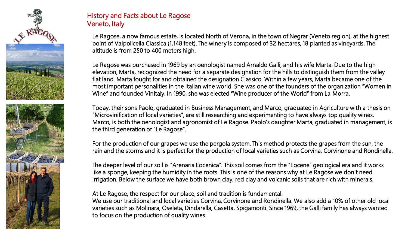

# History and Facts about Le Ragose Veneto, Italy

Le Ragose, a now famous estate, is located North of Verona, in the town of Negrar (Veneto region), at the highest point of Valpolicella Classica (1,148 feet). The winery is composed of 32 hectares, 18 planted as vineyards. The altitude is from 250 to 400 meters high.

Le Ragose was purchased in 1969 by an oenologist named Arnaldo Galli, and his wife Marta. Due to the high elevation, Marta, recognized the need for a separate designation for the hills to distinguish them from the valley flat land. Marta fought for and obtained the designation Classico. Within a few years, Marta became one of the most important personalities in the Italian wine world. She was one of the founders of the organization "Women in Wine" and founded VinItaly. In 1990, she was elected "Wine producer of the World" from La Morra.

Today, their sons Paolo, graduated in Business Management, and Marco, graduated in Agriculture with a thesis on "Microvinification of local varieties", are still researching and experimenting to have always top quality wines. Marco, is both the oenologist and agronomist of Le Ragose. Paolo's daughter Marta, graduated in management, is the third generation of "Le Ragose".

For the production of our grapes we use the pergola system. This method protects the grapes from the sun, the rain and the storms and it is perfect for the production of local varieties such as Corvina, Corvinone and Rondinella.

The deeper level of our soil is "Arenaria Eocenica". This soil comes from the "Eocene" geological era and it works like a sponge, keeping the humidity in the roots. This is one of the reasons why at Le Ragose we don't need irrigation. Below the surface we have both brown clay, red clay and volcanic soils that are rich with minerals.

At Le Ragose, the respect for our place, soil and tradition is fundamental.

We use our traditional and local varieties Corvina, Corvinone and Rondinella. We also add a 10% of other old local varieties such as Molinara, Oseleta, Dindarella, Casetta, Spigamonti. Since 1969, the Galli family has always wanted to focus on the production of quality wines.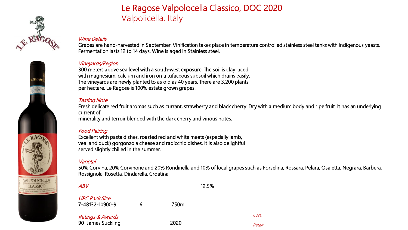



# Le Ragose Valpolocella Classico, DOC 2020 Valpolicella, Italy

### Wine Details

Grapes are hand-harvested in September. Vinification takes place in temperature controlled stainless steel tanks with indigenous yeasts. Fermentation lasts 12 to 14 days. Wine is aged in Stainless steel.

### Vineyards/Region

300 meters above sea level with a south-west exposure. The soil is clay laced with magnesium, calcium and iron on a tufaceous subsoil which drains easily. The vineyards are newly planted to as old as 40 years. There are 3,200 plants per hectare. Le Ragose is 100% estate grown grapes.

### Tasting Note

Fresh delicate red fruit aromas such as currant, strawberry and black cherry. Dry with a medium body and ripe fruit. It has an underlying current of

minerality and terroir blended with the dark cherry and vinous notes.

### Food Pairing

Excellent with pasta dishes, roasted red and white meats (especially lamb, veal and duck) gorgonzola cheese and radicchio dishes. It is also delightful served slightly chilled in the summer.

### Varietal

50% Corvina, 20% Corvinone and 20% Rondinella and 10% of local grapes such as Forselina, Rossara, Pelara, Osaletta, Negrara, Barbera, Rossignola, Rosetta, Dindarella, Croatina

| ABV                                     |   | 12.5% |         |
|-----------------------------------------|---|-------|---------|
| <b>UPC Pack Size</b><br>7-48132-10900-9 | 6 | 750ml |         |
| <b>Ratings &amp; Awards</b>             |   |       | Cost:   |
| 90 James Suckling                       |   | 2020  | Retail: |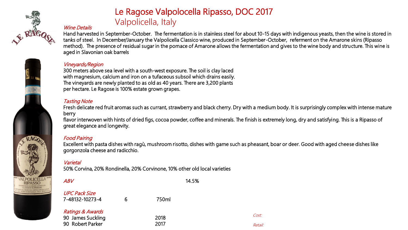



# Le Ragose Valpolocella Ripasso, DOC 2017 Valpolicella, Italy

### Wine Details

Hand harvested in September-October. The fermentation is in stainless steel for about 10-15 days with indigenous yeasts, then the wine is stored in tanks of steel. In December/January the Valpolicella Classico wine, produced in September-October, referment on the Amarone skins (Ripasso method). The presence of residual sugar in the pomace of Amarone allows the fermentation and gives to the wine body and structure. This wine is aged in Slavonian oak barrels

### Vineyards/Region

300 meters above sea level with a south-west exposure. The soil is clay laced with magnesium, calcium and iron on a tufaceous subsoil which drains easily. The vineyards are newly planted to as old as 40 years. There are 3,200 plants per hectare. Le Ragose is 100% estate grown grapes.

### Tasting Note

Fresh delicate red fruit aromas such as currant, strawberry and black cherry. Dry with a medium body. It is surprisingly complex with intense mature berry

flavor interwoven with hints of dried figs, cocoa powder, coffee and minerals. The finish is extremely long, dry and satisfying. This is a Ripasso of great elegance and longevity.

### Food Pairing

Excellent with pasta dishes with ragù, mushroom risotto, dishes with game such as pheasant, boar or deer. Good with aged cheese dishes like gorgonzola cheese and radicchio.

Cost:

Retail:

### **Varietal**

50% Corvina, 20% Rondinella, 20% Corvinone, 10% other old local varieties

| <i>ABV</i>                                                           |   |              | 14.5% |
|----------------------------------------------------------------------|---|--------------|-------|
| <b>UPC Pack Size</b><br>7-48132-10273-4                              | 6 | 750ml        |       |
| <b>Ratings &amp; Awards</b><br>90 James Suckling<br>90 Robert Parker |   | 2018<br>2017 |       |